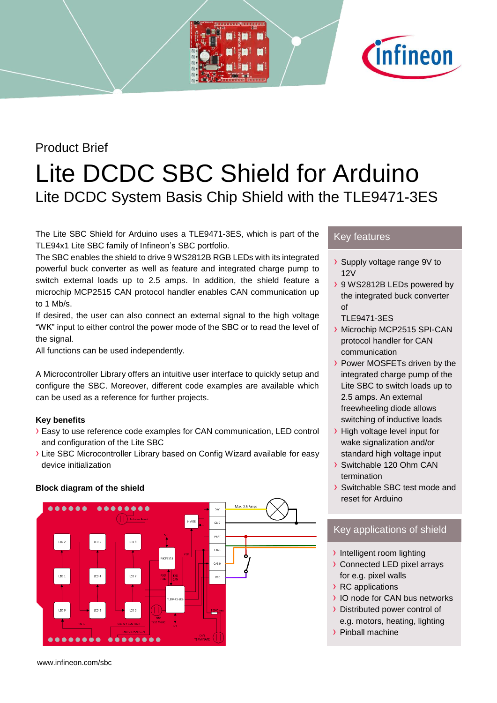## Product Brief

# Lite DCDC SBC Shield for Arduino Lite DCDC System Basis Chip Shield with the TLE9471-3ES

The Lite SBC Shield for Arduino uses a TLE9471-3ES, which is part of the TLE94x1 Lite SBC family of Infineon's SBC portfolio.

The SBC enables the shield to drive 9 WS2812B RGB LEDs with its integrated powerful buck converter as well as feature and integrated charge pump to switch external loads up to 2.5 amps. In addition, the shield feature a microchip MCP2515 CAN protocol handler enables CAN communication up to 1 Mb/s.

If desired, the user can also connect an external signal to the high voltage "WK" input to either control the power mode of the SBC or to read the level of the signal.

All functions can be used independently.

A Microcontroller Library offers an intuitive user interface to quickly setup and configure the SBC. Moreover, different code examples are available which can be used as a reference for further projects.

#### **Key benefits**

- › Easy to use reference code examples for CAN communication, LED control and configuration of the Lite SBC
- › Lite SBC Microcontroller Library based on Config Wizard available for easy device initialization

#### **Block diagram of the shield**



Key features

- › Supply voltage range 9V to 12V
- › 9 WS2812B LEDs powered by the integrated buck converter of

**Cinfineon** 

- TLE9471-3ES
- › Microchip MCP2515 SPI-CAN protocol handler for CAN communication
- › Power MOSFETs driven by the integrated charge pump of the Lite SBC to switch loads up to 2.5 amps. An external freewheeling diode allows switching of inductive loads
- > High voltage level input for wake signalization and/or standard high voltage input
- › Switchable 120 Ohm CAN termination
- › Switchable SBC test mode and reset for Arduino

### Key applications of shield

- › Intelligent room lighting
- › Connected LED pixel arrays for e.g. pixel walls
- › RC applications
- › IO node for CAN bus networks
- › Distributed power control of
- e.g. motors, heating, lighting › Pinball machine